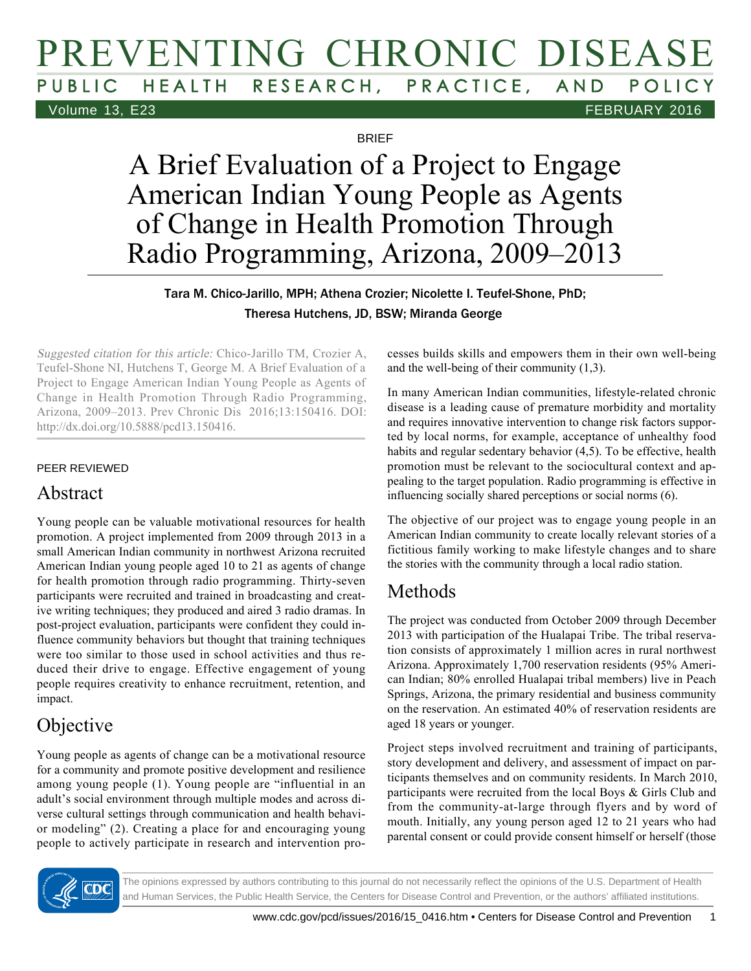# PREVENTING CHRONIC DISEASE RESEARCH, PRACTICE, AND POLICY Volume 13, E23 FEBRUARY 2016

**BRIFF** 

A Brief Evaluation of a Project to Engage American Indian Young People as Agents of Change in Health Promotion Through Radio Programming, Arizona, 2009–2013

#### Tara M. Chico-Jarillo, MPH; Athena Crozier; Nicolette I. Teufel-Shone, PhD; Theresa Hutchens, JD, BSW; Miranda George

Suggested citation for this article: Chico-Jarillo TM, Crozier A, Teufel-Shone NI, Hutchens T, George M. A Brief Evaluation of a Project to Engage American Indian Young People as Agents of Change in Health Promotion Through Radio Programming, Arizona, 2009–2013. Prev Chronic Dis 2016;13:150416. DOI: http://dx.doi.org/10.5888/pcd13.150416.

#### PEER REVIEWED

## Abstract

Young people can be valuable motivational resources for health promotion. A project implemented from 2009 through 2013 in a small American Indian community in northwest Arizona recruited American Indian young people aged 10 to 21 as agents of change for health promotion through radio programming. Thirty-seven participants were recruited and trained in broadcasting and creative writing techniques; they produced and aired 3 radio dramas. In post-project evaluation, participants were confident they could influence community behaviors but thought that training techniques were too similar to those used in school activities and thus reduced their drive to engage. Effective engagement of young people requires creativity to enhance recruitment, retention, and impact.

# Objective

Young people as agents of change can be a motivational resource for a community and promote positive development and resilience among young people (1). Young people are "influential in an adult's social environment through multiple modes and across diverse cultural settings through communication and health behavior modeling" (2). Creating a place for and encouraging young people to actively participate in research and intervention processes builds skills and empowers them in their own well-being and the well-being of their community (1,3).

In many American Indian communities, lifestyle-related chronic disease is a leading cause of premature morbidity and mortality and requires innovative intervention to change risk factors supported by local norms, for example, acceptance of unhealthy food habits and regular sedentary behavior (4,5). To be effective, health promotion must be relevant to the sociocultural context and appealing to the target population. Radio programming is effective in influencing socially shared perceptions or social norms (6).

The objective of our project was to engage young people in an American Indian community to create locally relevant stories of a fictitious family working to make lifestyle changes and to share the stories with the community through a local radio station.

# Methods

The project was conducted from October 2009 through December 2013 with participation of the Hualapai Tribe. The tribal reservation consists of approximately 1 million acres in rural northwest Arizona. Approximately 1,700 reservation residents (95% American Indian; 80% enrolled Hualapai tribal members) live in Peach Springs, Arizona, the primary residential and business community on the reservation. An estimated 40% of reservation residents are aged 18 years or younger.

Project steps involved recruitment and training of participants, story development and delivery, and assessment of impact on participants themselves and on community residents. In March 2010, participants were recruited from the local Boys & Girls Club and from the community-at-large through flyers and by word of mouth. Initially, any young person aged 12 to 21 years who had parental consent or could provide consent himself or herself (those



The opinions expressed by authors contributing to this journal do not necessarily reflect the opinions of the U.S. Department of Health and Human Services, the Public Health Service, the Centers for Disease Control and Prevention, or the authors' affiliated institutions.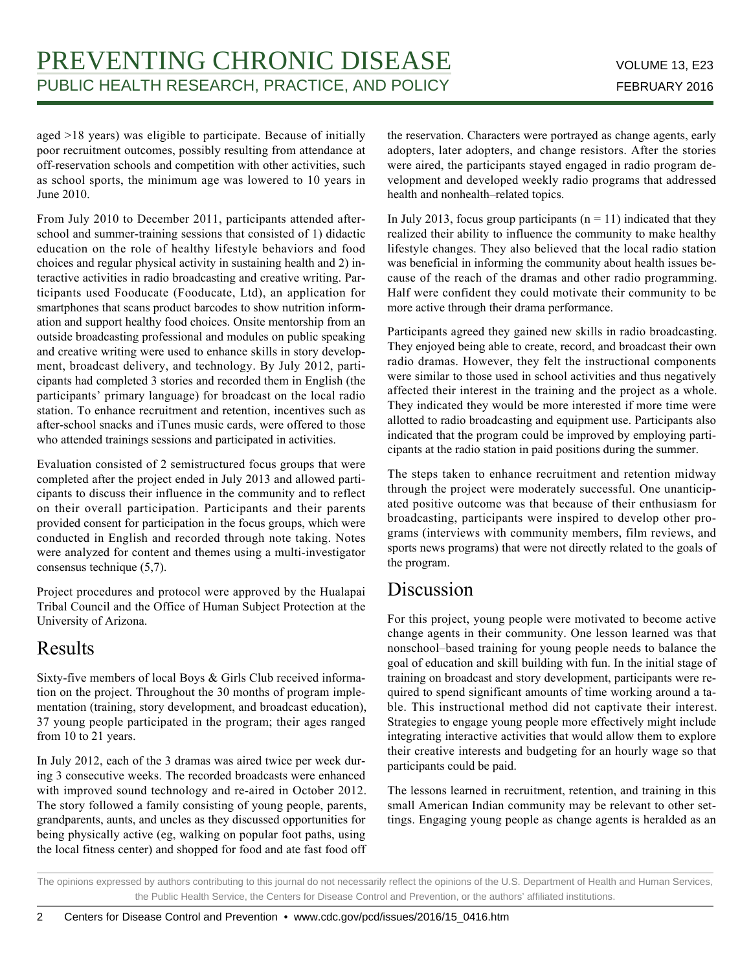aged >18 years) was eligible to participate. Because of initially poor recruitment outcomes, possibly resulting from attendance at off-reservation schools and competition with other activities, such as school sports, the minimum age was lowered to 10 years in June 2010.

From July 2010 to December 2011, participants attended afterschool and summer-training sessions that consisted of 1) didactic education on the role of healthy lifestyle behaviors and food choices and regular physical activity in sustaining health and 2) interactive activities in radio broadcasting and creative writing. Participants used Fooducate (Fooducate, Ltd), an application for smartphones that scans product barcodes to show nutrition information and support healthy food choices. Onsite mentorship from an outside broadcasting professional and modules on public speaking and creative writing were used to enhance skills in story development, broadcast delivery, and technology. By July 2012, participants had completed 3 stories and recorded them in English (the participants' primary language) for broadcast on the local radio station. To enhance recruitment and retention, incentives such as after-school snacks and iTunes music cards, were offered to those who attended trainings sessions and participated in activities.

Evaluation consisted of 2 semistructured focus groups that were completed after the project ended in July 2013 and allowed participants to discuss their influence in the community and to reflect on their overall participation. Participants and their parents provided consent for participation in the focus groups, which were conducted in English and recorded through note taking. Notes were analyzed for content and themes using a multi-investigator consensus technique (5,7).

Project procedures and protocol were approved by the Hualapai Tribal Council and the Office of Human Subject Protection at the University of Arizona.

## Results

Sixty-five members of local Boys & Girls Club received information on the project. Throughout the 30 months of program implementation (training, story development, and broadcast education), 37 young people participated in the program; their ages ranged from 10 to 21 years.

In July 2012, each of the 3 dramas was aired twice per week during 3 consecutive weeks. The recorded broadcasts were enhanced with improved sound technology and re-aired in October 2012. The story followed a family consisting of young people, parents, grandparents, aunts, and uncles as they discussed opportunities for being physically active (eg, walking on popular foot paths, using the local fitness center) and shopped for food and ate fast food off the reservation. Characters were portrayed as change agents, early adopters, later adopters, and change resistors. After the stories were aired, the participants stayed engaged in radio program development and developed weekly radio programs that addressed health and nonhealth–related topics.

In July 2013, focus group participants ( $n = 11$ ) indicated that they realized their ability to influence the community to make healthy lifestyle changes. They also believed that the local radio station was beneficial in informing the community about health issues because of the reach of the dramas and other radio programming. Half were confident they could motivate their community to be more active through their drama performance.

Participants agreed they gained new skills in radio broadcasting. They enjoyed being able to create, record, and broadcast their own radio dramas. However, they felt the instructional components were similar to those used in school activities and thus negatively affected their interest in the training and the project as a whole. They indicated they would be more interested if more time were allotted to radio broadcasting and equipment use. Participants also indicated that the program could be improved by employing participants at the radio station in paid positions during the summer.

The steps taken to enhance recruitment and retention midway through the project were moderately successful. One unanticipated positive outcome was that because of their enthusiasm for broadcasting, participants were inspired to develop other programs (interviews with community members, film reviews, and sports news programs) that were not directly related to the goals of the program.

## Discussion

For this project, young people were motivated to become active change agents in their community. One lesson learned was that nonschool–based training for young people needs to balance the goal of education and skill building with fun. In the initial stage of training on broadcast and story development, participants were required to spend significant amounts of time working around a table. This instructional method did not captivate their interest. Strategies to engage young people more effectively might include integrating interactive activities that would allow them to explore their creative interests and budgeting for an hourly wage so that participants could be paid.

The lessons learned in recruitment, retention, and training in this small American Indian community may be relevant to other settings. Engaging young people as change agents is heralded as an

The opinions expressed by authors contributing to this journal do not necessarily reflect the opinions of the U.S. Department of Health and Human Services, the Public Health Service, the Centers for Disease Control and Prevention, or the authors' affiliated institutions.